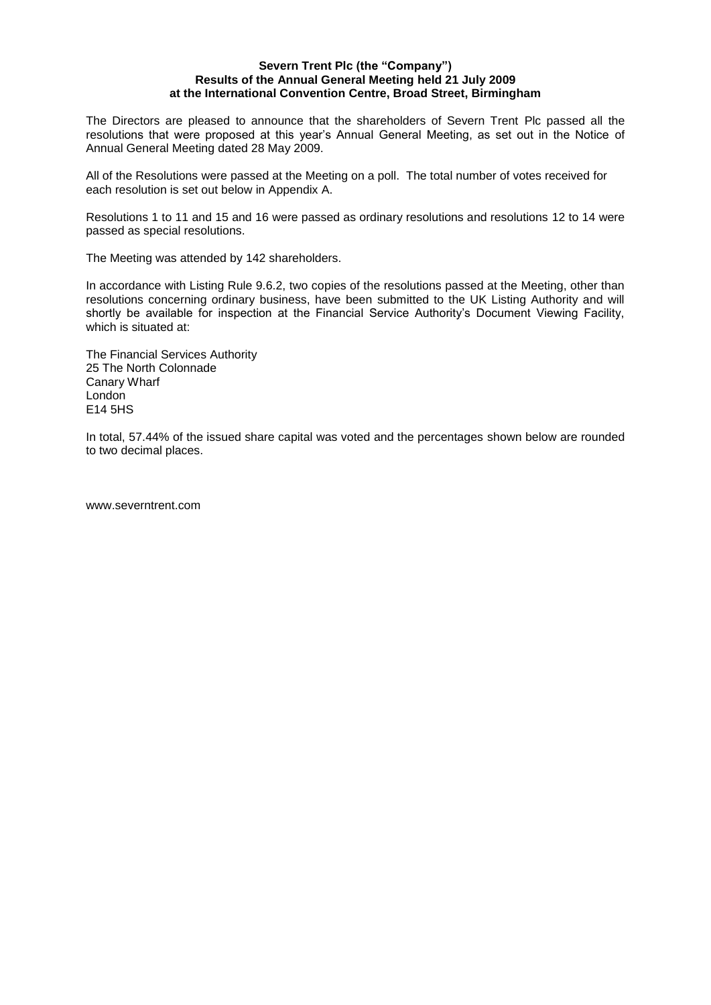## **Severn Trent Plc (the "Company") Results of the Annual General Meeting held 21 July 2009 at the International Convention Centre, Broad Street, Birmingham**

The Directors are pleased to announce that the shareholders of Severn Trent Plc passed all the resolutions that were proposed at this year's Annual General Meeting, as set out in the Notice of Annual General Meeting dated 28 May 2009.

All of the Resolutions were passed at the Meeting on a poll. The total number of votes received for each resolution is set out below in Appendix A.

Resolutions 1 to 11 and 15 and 16 were passed as ordinary resolutions and resolutions 12 to 14 were passed as special resolutions.

The Meeting was attended by 142 shareholders.

In accordance with Listing Rule 9.6.2, two copies of the resolutions passed at the Meeting, other than resolutions concerning ordinary business, have been submitted to the UK Listing Authority and will shortly be available for inspection at the Financial Service Authority's Document Viewing Facility, which is situated at:

The Financial Services Authority 25 The North Colonnade Canary Wharf London E14 5HS

In total, 57.44% of the issued share capital was voted and the percentages shown below are rounded to two decimal places.

www.severntrent.com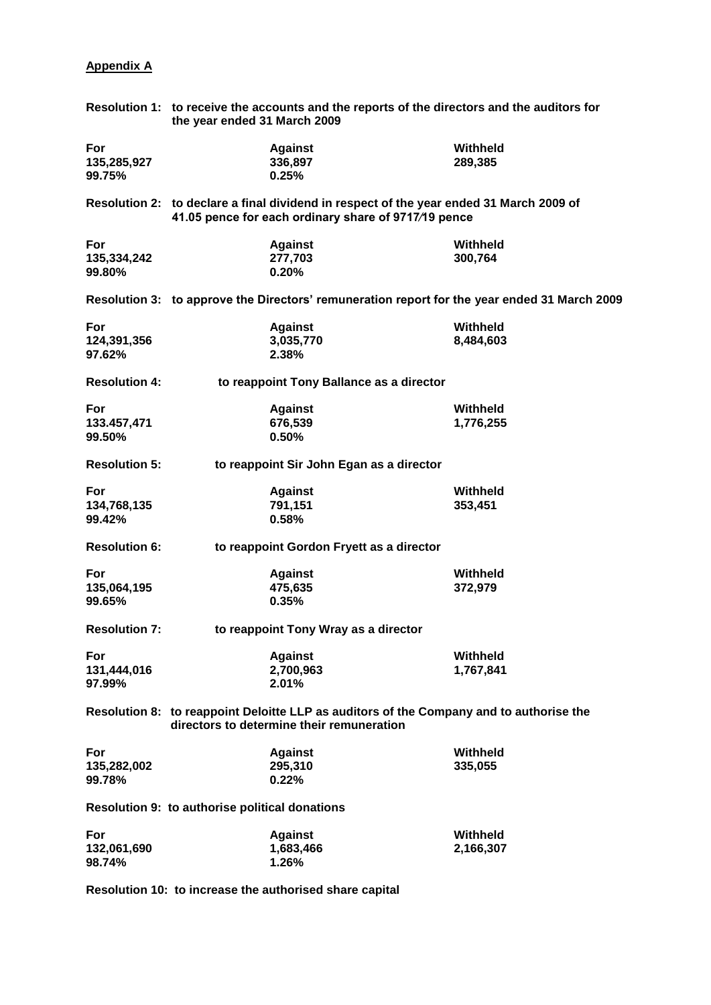## **Appendix A**

|                      | Resolution 1: to receive the accounts and the reports of the directors and the auditors for<br>the year ended 31 March 2009                     |           |  |
|----------------------|-------------------------------------------------------------------------------------------------------------------------------------------------|-----------|--|
| For                  | <b>Against</b>                                                                                                                                  | Withheld  |  |
| 135,285,927          | 336,897                                                                                                                                         | 289,385   |  |
|                      |                                                                                                                                                 |           |  |
| 99.75%               | 0.25%                                                                                                                                           |           |  |
|                      | Resolution 2: to declare a final dividend in respect of the year ended 31 March 2009 of<br>41.05 pence for each ordinary share of 9717/19 pence |           |  |
| For                  | <b>Against</b>                                                                                                                                  | Withheld  |  |
| 135,334,242          | 277,703                                                                                                                                         | 300,764   |  |
| 99.80%               | 0.20%                                                                                                                                           |           |  |
|                      |                                                                                                                                                 |           |  |
|                      | Resolution 3: to approve the Directors' remuneration report for the year ended 31 March 2009                                                    |           |  |
| For                  | <b>Against</b>                                                                                                                                  | Withheld  |  |
| 124,391,356          | 3,035,770                                                                                                                                       | 8,484,603 |  |
| 97.62%               | 2.38%                                                                                                                                           |           |  |
| <b>Resolution 4:</b> | to reappoint Tony Ballance as a director                                                                                                        |           |  |
|                      |                                                                                                                                                 |           |  |
| For                  | <b>Against</b>                                                                                                                                  | Withheld  |  |
| 133.457,471          | 676,539                                                                                                                                         | 1,776,255 |  |
| 99.50%               | 0.50%                                                                                                                                           |           |  |
| <b>Resolution 5:</b> | to reappoint Sir John Egan as a director                                                                                                        |           |  |
| For                  | <b>Against</b>                                                                                                                                  | Withheld  |  |
| 134,768,135          | 791,151                                                                                                                                         | 353,451   |  |
| 99.42%               | 0.58%                                                                                                                                           |           |  |
| <b>Resolution 6:</b> | to reappoint Gordon Fryett as a director                                                                                                        |           |  |
| For                  | <b>Against</b>                                                                                                                                  | Withheld  |  |
| 135,064,195          | 475,635                                                                                                                                         | 372,979   |  |
| 99.65%               | 0.35%                                                                                                                                           |           |  |
| <b>Resolution 7:</b> | to reappoint Tony Wray as a director                                                                                                            |           |  |
|                      |                                                                                                                                                 |           |  |
| For                  | <b>Against</b>                                                                                                                                  | Withheld  |  |
| 131,444,016          | 2,700,963                                                                                                                                       | 1,767,841 |  |
| 97.99%               | 2.01%                                                                                                                                           |           |  |
|                      | Resolution 8: to reappoint Deloitte LLP as auditors of the Company and to authorise the<br>directors to determine their remuneration            |           |  |
| For                  | <b>Against</b>                                                                                                                                  | Withheld  |  |
| 135,282,002          | 295,310                                                                                                                                         | 335,055   |  |
| 99.78%               | 0.22%                                                                                                                                           |           |  |
|                      | <b>Resolution 9: to authorise political donations</b>                                                                                           |           |  |
| For                  | <b>Against</b>                                                                                                                                  | Withheld  |  |
|                      |                                                                                                                                                 |           |  |
| 132,061,690          | 1,683,466                                                                                                                                       | 2,166,307 |  |
| 98.74%               | 1.26%                                                                                                                                           |           |  |

**Resolution 10: to increase the authorised share capital**